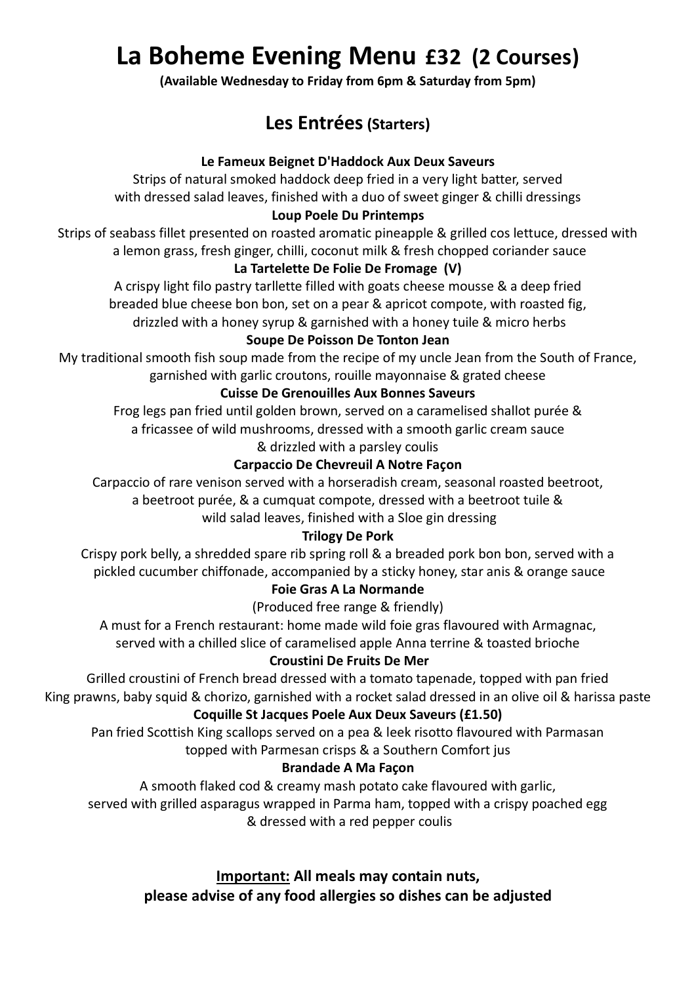# **La Boheme Evening Menu £32 (2 Courses)**

**(Available Wednesday to Friday from 6pm & Saturday from 5pm)**

# **Les Entrées(Starters)**

### **Le Fameux Beignet D'Haddock Aux Deux Saveurs**

Strips of natural smoked haddock deep fried in a very light batter, served with dressed salad leaves, finished with a duo of sweet ginger & chilli dressings

### **Loup Poele Du Printemps**

Strips of seabass fillet presented on roasted aromatic pineapple & grilled cos lettuce, dressed with a lemon grass, fresh ginger, chilli, coconut milk & fresh chopped coriander sauce

### **La Tartelette De Folie De Fromage (V)**

A crispy light filo pastry tarllette filled with goats cheese mousse & a deep fried breaded blue cheese bon bon, set on a pear & apricot compote, with roasted fig, drizzled with a honey syrup & garnished with a honey tuile & micro herbs

### **Soupe De Poisson De Tonton Jean**

My traditional smooth fish soup made from the recipe of my uncle Jean from the South of France, garnished with garlic croutons, rouille mayonnaise & grated cheese

### **Cuisse De Grenouilles Aux Bonnes Saveurs**

Frog legs pan fried until golden brown, served on a caramelised shallot purée & a fricassee of wild mushrooms, dressed with a smooth garlic cream sauce & drizzled with a parsley coulis

### **Carpaccio De Chevreuil A Notre Façon**

Carpaccio of rare venison served with a horseradish cream, seasonal roasted beetroot,

a beetroot purée, & a cumquat compote, dressed with a beetroot tuile &

wild salad leaves, finished with a Sloe gin dressing

### **Trilogy De Pork**

Crispy pork belly, a shredded spare rib spring roll & a breaded pork bon bon, served with a pickled cucumber chiffonade, accompanied by a sticky honey, star anis & orange sauce

### **Foie Gras A La Normande**

(Produced free range & friendly)

A must for a French restaurant: home made wild foie gras flavoured with Armagnac,

served with a chilled slice of caramelised apple Anna terrine & toasted brioche

### **Croustini De Fruits De Mer**

Grilled croustini of French bread dressed with a tomato tapenade, topped with pan fried King prawns, baby squid & chorizo, garnished with a rocket salad dressed in an olive oil & harissa paste

### **Coquille St Jacques Poele Aux Deux Saveurs (£1.50)**

Pan fried Scottish King scallops served on a pea & leek risotto flavoured with Parmasan topped with Parmesan crisps & a Southern Comfort jus

### **Brandade A Ma Façon**

A smooth flaked cod & creamy mash potato cake flavoured with garlic,

served with grilled asparagus wrapped in Parma ham, topped with a crispy poached egg & dressed with a red pepper coulis

> **Important: All meals may contain nuts, please advise of any food allergies so dishes can be adjusted**